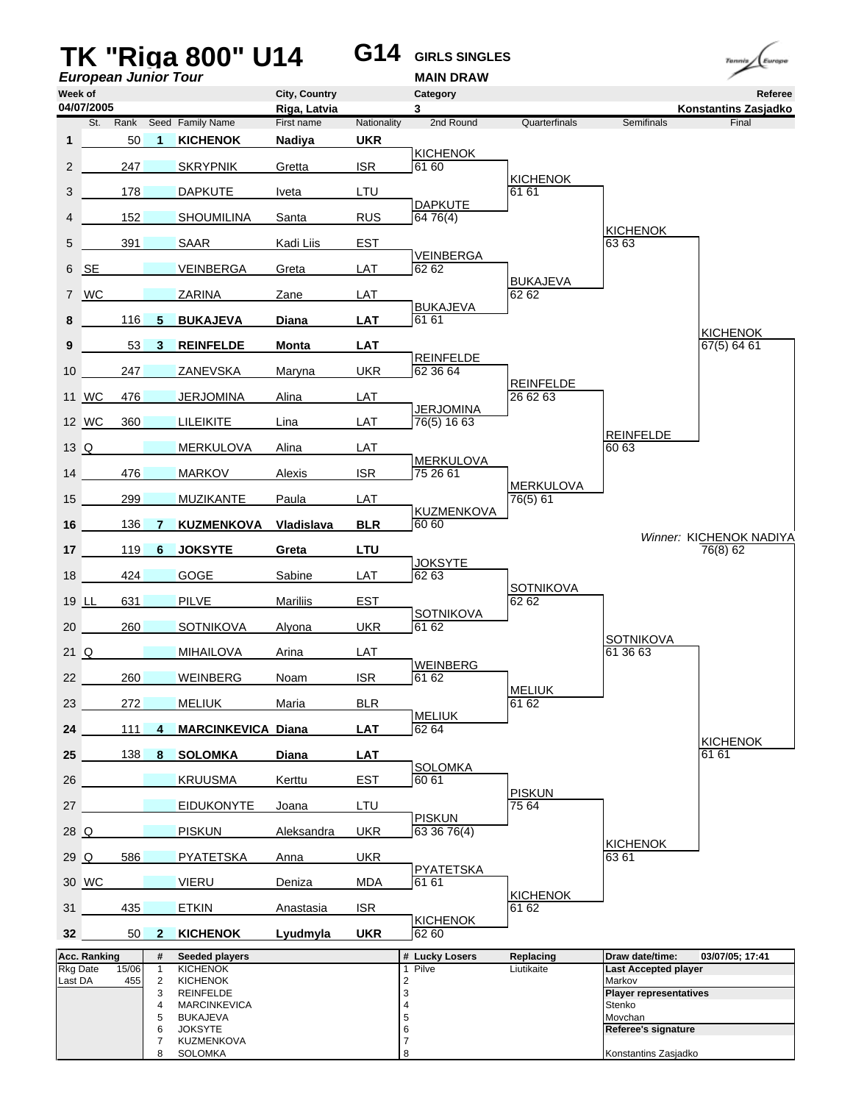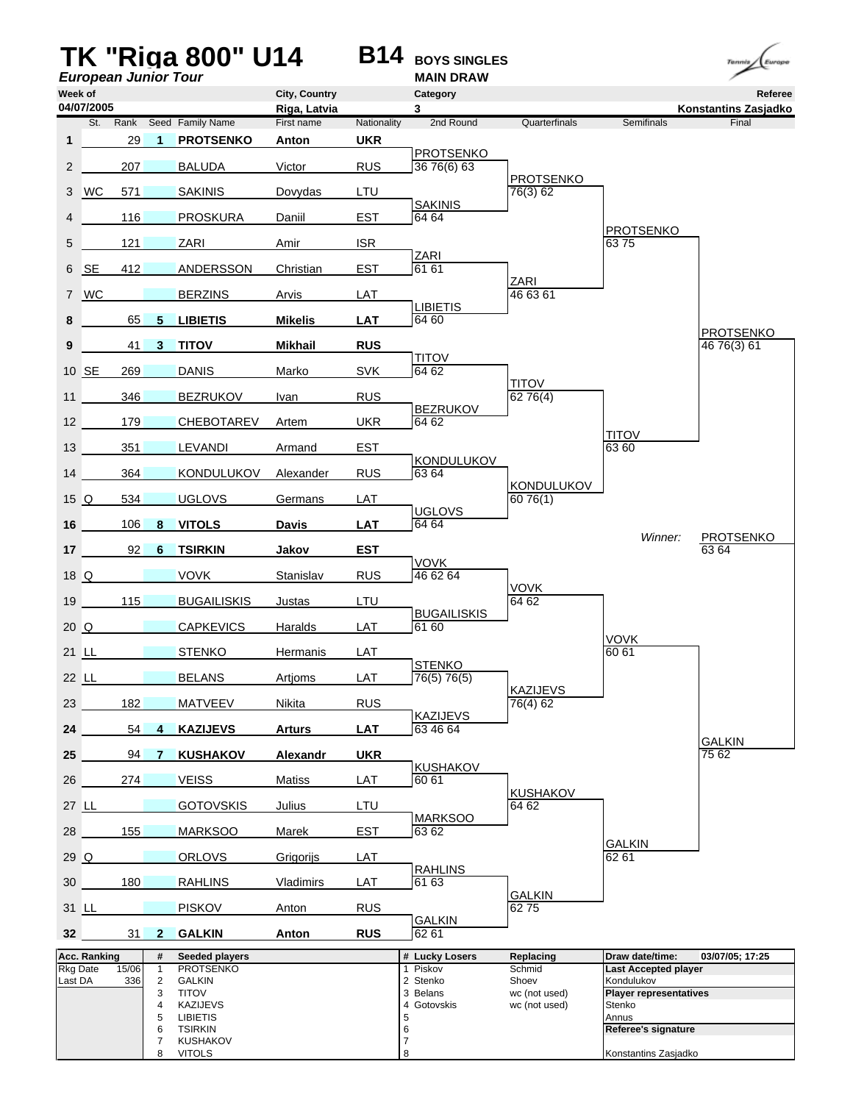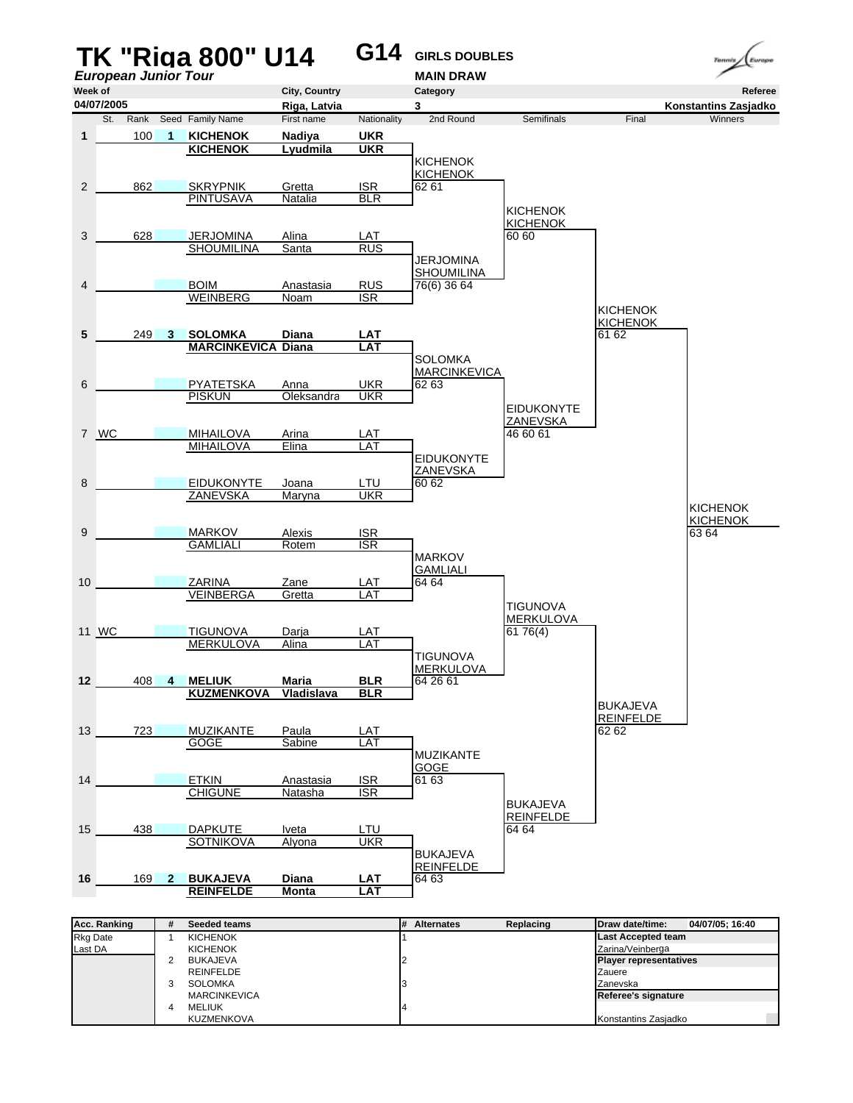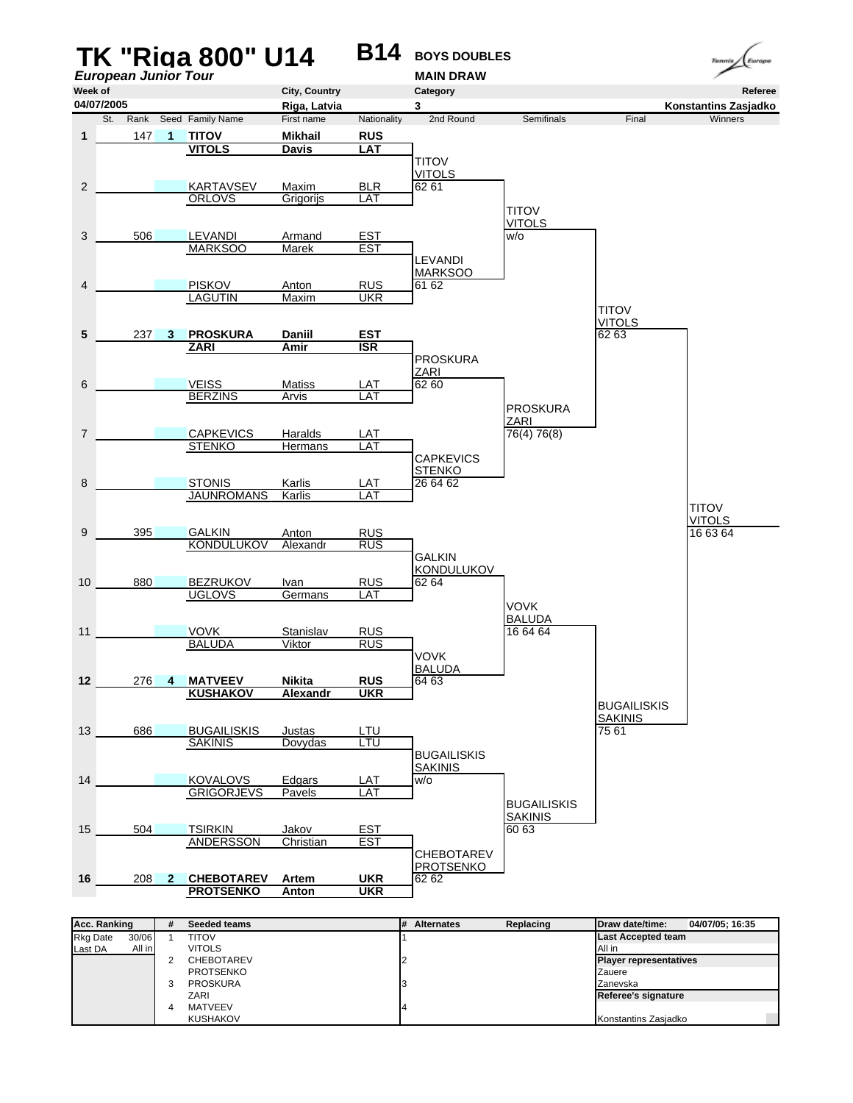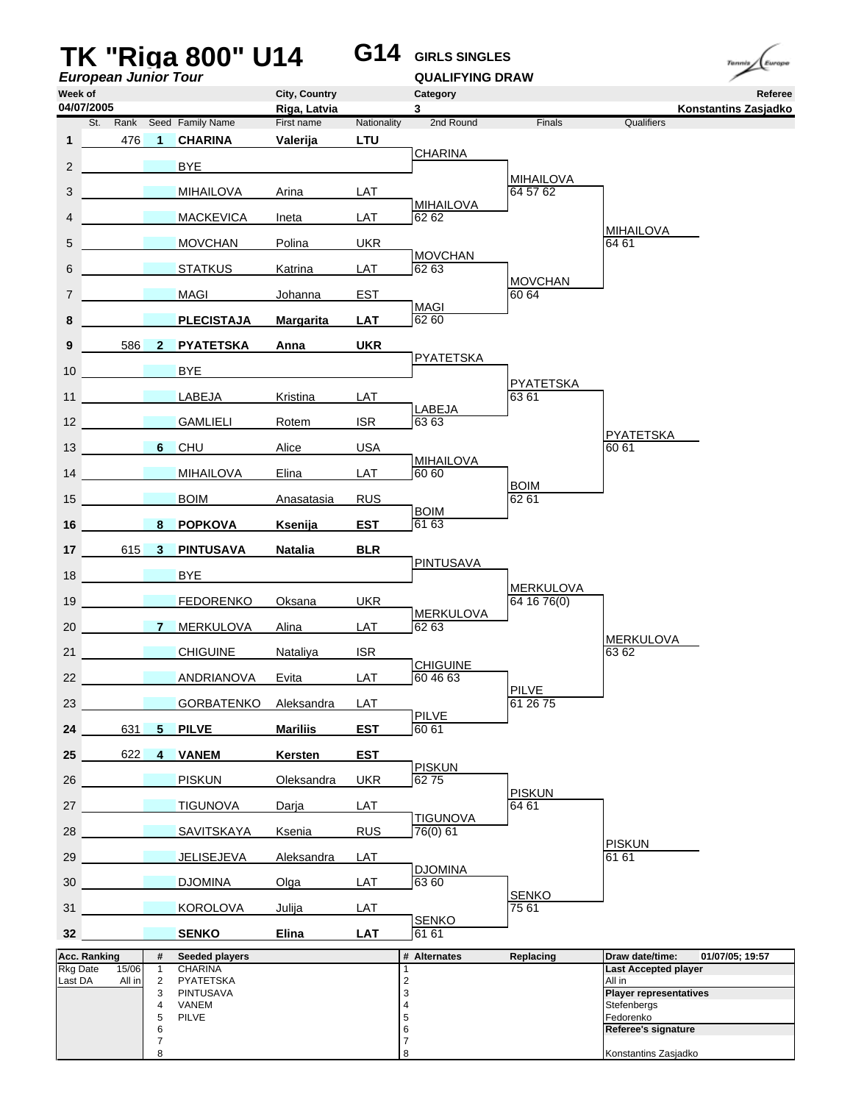| <b>European Junior Tour</b>     |                                |                         | <b>TK "Riga 800" U14</b>                |                        | G14                       | <b>GIRLS SINGLES</b><br><b>QUALIFYING DRAW</b> |                           | Europe<br>Tennis                                                  |
|---------------------------------|--------------------------------|-------------------------|-----------------------------------------|------------------------|---------------------------|------------------------------------------------|---------------------------|-------------------------------------------------------------------|
| Week of                         |                                |                         |                                         | City, Country          |                           | Category                                       |                           | Referee                                                           |
| 04/07/2005                      |                                |                         |                                         | Riga, Latvia           |                           | 3                                              |                           | Konstantins Zasjadko                                              |
| St.<br>1                        | 476                            | $\overline{1}$          | Rank Seed Family Name<br><b>CHARINA</b> | First name<br>Valerija | Nationality<br><b>LTU</b> | 2nd Round                                      | Finals                    | Qualifiers                                                        |
| $\overline{2}$                  |                                |                         | <b>BYE</b>                              |                        |                           | <b>CHARINA</b>                                 |                           |                                                                   |
|                                 |                                |                         |                                         |                        |                           |                                                | <b>MIHAILOVA</b>          |                                                                   |
| 3                               |                                |                         | <b>MIHAILOVA</b>                        | Arina                  | LAT                       | <b>MIHAILOVA</b>                               | 64 57 62                  |                                                                   |
| 4                               |                                |                         | <b>MACKEVICA</b>                        | Ineta                  | LAT                       | 62 62                                          |                           | <b>MIHAILOVA</b>                                                  |
| 5                               |                                |                         | <b>MOVCHAN</b>                          | Polina                 | <b>UKR</b>                | <b>MOVCHAN</b>                                 |                           | 64 61                                                             |
| 6                               |                                |                         | <b>STATKUS</b>                          | Katrina                | LAT                       | 62 63                                          | <b>MOVCHAN</b>            |                                                                   |
| $\overline{7}$                  |                                |                         | <b>MAGI</b>                             | Johanna                | <b>EST</b>                | <b>MAGI</b>                                    | 60 64                     |                                                                   |
| 8                               |                                |                         | <b>PLECISTAJA</b>                       | <b>Margarita</b>       | <b>LAT</b>                | 62 60                                          |                           |                                                                   |
| 9                               | 586                            | $\mathbf{2}$            | <b>PYATETSKA</b>                        | Anna                   | <b>UKR</b>                |                                                |                           |                                                                   |
| 10 <sup>1</sup>                 |                                |                         | <b>BYE</b>                              |                        |                           | <b>PYATETSKA</b>                               |                           |                                                                   |
| 11                              |                                |                         | <b>LABEJA</b>                           | Kristina               | LAT                       |                                                | <b>PYATETSKA</b><br>63 61 |                                                                   |
| 12 <sup>2</sup>                 |                                |                         | <b>GAMLIELI</b>                         | Rotem                  | <b>ISR</b>                | LABEJA<br>6363                                 |                           |                                                                   |
| 13                              |                                | 6 <sup>1</sup>          | <b>CHU</b>                              | Alice                  | <b>USA</b>                |                                                |                           | <b>PYATETSKA</b><br>60 61                                         |
| 14                              | <b>Contract Contract State</b> |                         | <b>MIHAILOVA</b>                        | Elina                  | <b>LAT</b>                | <b>MIHAILOVA</b><br>60 60                      |                           |                                                                   |
| 15                              |                                |                         | <b>BOIM</b>                             | Anasatasia             | <b>RUS</b>                |                                                | <b>BOIM</b><br>62 61      |                                                                   |
|                                 |                                |                         |                                         |                        |                           | <b>BOIM</b>                                    |                           |                                                                   |
| 16                              |                                | 8                       | <b>POPKOVA</b>                          | Ksenija                | <b>EST</b>                | 61 63                                          |                           |                                                                   |
| 17 <sup>2</sup>                 | 615                            | $\overline{\mathbf{3}}$ | <b>PINTUSAVA</b>                        | <b>Natalia</b>         | <b>BLR</b>                | <b>PINTUSAVA</b>                               |                           |                                                                   |
| 18                              |                                |                         | <b>BYE</b>                              |                        |                           |                                                | <b>MERKULOVA</b>          |                                                                   |
| 19                              |                                |                         | <b>FEDORENKO</b>                        | Oksana                 | <b>UKR</b>                | <b>MERKULOVA</b>                               | 64 16 76(0)               |                                                                   |
| 20                              |                                | $\mathbf{7}$            | <b>MERKULOVA</b>                        | Alina                  | LAT                       | 62 63                                          |                           | <b>MERKULOVA</b>                                                  |
| 21                              |                                |                         | <b>CHIGUINE</b>                         | Nataliya               | <b>ISR</b>                | CHIGUINE                                       |                           | 63 62                                                             |
| 22                              |                                |                         | <b>ANDRIANOVA</b>                       | Evita                  | LAT                       | 60 46 63                                       |                           |                                                                   |
| 23                              |                                |                         | <b>GORBATENKO</b>                       | Aleksandra             | LAT                       |                                                | <b>PILVE</b><br>61 26 75  |                                                                   |
| 24                              | 631                            | $5 -$                   | <b>PILVE</b>                            | <b>Mariliis</b>        | <b>EST</b>                | <b>PILVE</b><br>60 61                          |                           |                                                                   |
| 25                              | 622                            | $\overline{4}$          | <b>VANEM</b>                            | Kersten                | <b>EST</b>                |                                                |                           |                                                                   |
| 26                              |                                |                         | <b>PISKUN</b>                           | Oleksandra             | <b>UKR</b>                | <b>PISKUN</b><br>6275                          |                           |                                                                   |
| 27                              |                                |                         | <b>TIGUNOVA</b>                         | Darja                  | LAT                       |                                                | <b>PISKUN</b><br>64 61    |                                                                   |
| 28                              |                                |                         | <b>SAVITSKAYA</b>                       | Ksenia                 | <b>RUS</b>                | <b>TIGUNOVA</b><br>76(0) 61                    |                           |                                                                   |
| 29                              |                                |                         | JELISEJEVA                              | Aleksandra             | LAT                       |                                                |                           | <b>PISKUN</b><br>61 61                                            |
|                                 |                                |                         |                                         |                        |                           | <b>DJOMINA</b>                                 |                           |                                                                   |
| 30 <sup>°</sup>                 |                                |                         | <b>DJOMINA</b>                          | Olga                   | LAT                       | 63 60                                          | <b>SENKO</b>              |                                                                   |
| 31                              |                                |                         | <b>KOROLOVA</b>                         | Julija                 | <b>LAT</b>                | <b>SENKO</b>                                   | 75 61                     |                                                                   |
| 32                              |                                |                         | <b>SENKO</b>                            | <b>Elina</b>           | <b>LAT</b>                | 61 61                                          |                           |                                                                   |
| Acc. Ranking<br><b>Rkg Date</b> | 15/06                          | #<br>$\mathbf{1}$       | Seeded players<br><b>CHARINA</b>        |                        |                           | # Alternates<br>1                              | Replacing                 | Draw date/time:<br>01/07/05; 19:57<br><b>Last Accepted player</b> |
| Last DA                         | All in                         | $\overline{2}$<br>3     | PYATETSKA<br><b>PINTUSAVA</b>           |                        |                           | $\overline{2}$<br>3                            |                           | All in<br><b>Player representatives</b>                           |
|                                 |                                | 4<br>5                  | VANEM<br><b>PILVE</b>                   |                        |                           | 4<br>5                                         |                           | Stefenbergs<br>Fedorenko                                          |
|                                 |                                | 6                       |                                         |                        |                           | 6                                              |                           | Referee's signature                                               |
|                                 |                                | 7<br>8                  |                                         |                        |                           | $\overline{7}$<br>8                            |                           | Konstantins Zasjadko                                              |